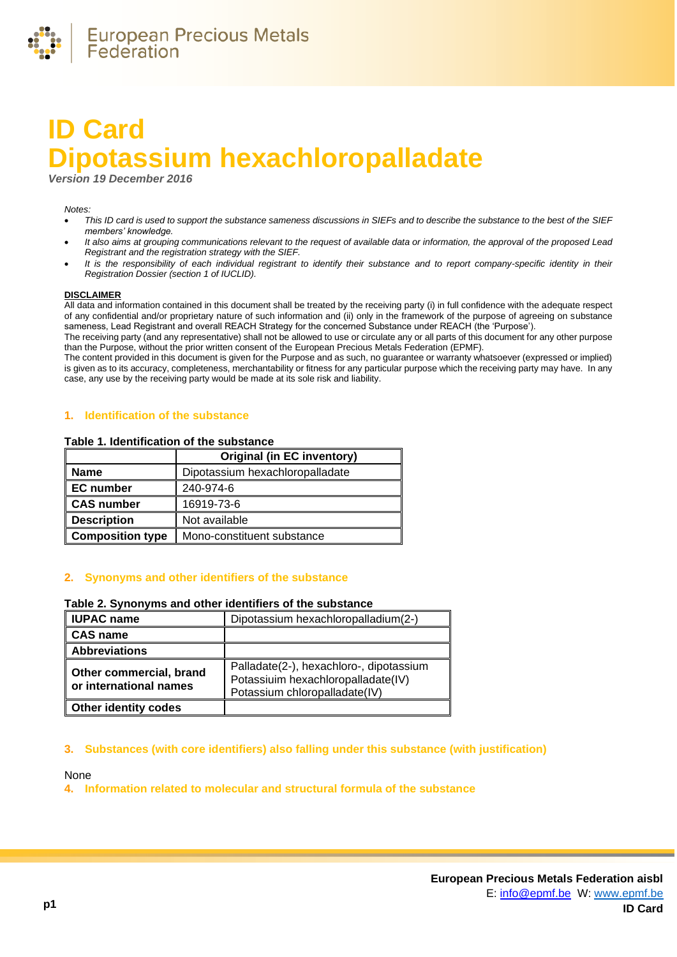

# **ID Card Dipotassium hexachloropalladate**

*Version 19 December 2016*

#### *Notes:*

- *This ID card is used to support the substance sameness discussions in SIEFs and to describe the substance to the best of the SIEF members' knowledge.*
- *It also aims at grouping communications relevant to the request of available data or information, the approval of the proposed Lead Registrant and the registration strategy with the SIEF.*
- *It is the responsibility of each individual registrant to identify their substance and to report company-specific identity in their Registration Dossier (section 1 of IUCLID).*

### **DISCLAIMER**

All data and information contained in this document shall be treated by the receiving party (i) in full confidence with the adequate respect of any confidential and/or proprietary nature of such information and (ii) only in the framework of the purpose of agreeing on substance sameness, Lead Registrant and overall REACH Strategy for the concerned Substance under REACH (the 'Purpose').

The receiving party (and any representative) shall not be allowed to use or circulate any or all parts of this document for any other purpose than the Purpose, without the prior written consent of the European Precious Metals Federation (EPMF).

The content provided in this document is given for the Purpose and as such, no guarantee or warranty whatsoever (expressed or implied) is given as to its accuracy, completeness, merchantability or fitness for any particular purpose which the receiving party may have. In any case, any use by the receiving party would be made at its sole risk and liability.

#### **1. Identification of the substance**

#### **Table 1. Identification of the substance**

|                         | <b>Original (in EC inventory)</b> |
|-------------------------|-----------------------------------|
| <b>Name</b>             | Dipotassium hexachloropalladate   |
| <b>EC</b> number        | 240-974-6                         |
| <b>CAS number</b>       | 16919-73-6                        |
| <b>Description</b>      | Not available                     |
| <b>Composition type</b> | Mono-constituent substance        |

## **2. Synonyms and other identifiers of the substance**

#### **Table 2. Synonyms and other identifiers of the substance**

| <b>IUPAC name</b>                                 | Dipotassium hexachloropalladium(2-)                                                                            |
|---------------------------------------------------|----------------------------------------------------------------------------------------------------------------|
| CAS name                                          |                                                                                                                |
| <b>Abbreviations</b>                              |                                                                                                                |
| Other commercial, brand<br>or international names | Palladate(2-), hexachloro-, dipotassium<br>Potassiuim hexachloropalladate(IV)<br>Potassium chloropalladate(IV) |
| <b>Other identity codes</b>                       |                                                                                                                |

#### **3. Substances (with core identifiers) also falling under this substance (with justification)**

None

**4. Information related to molecular and structural formula of the substance**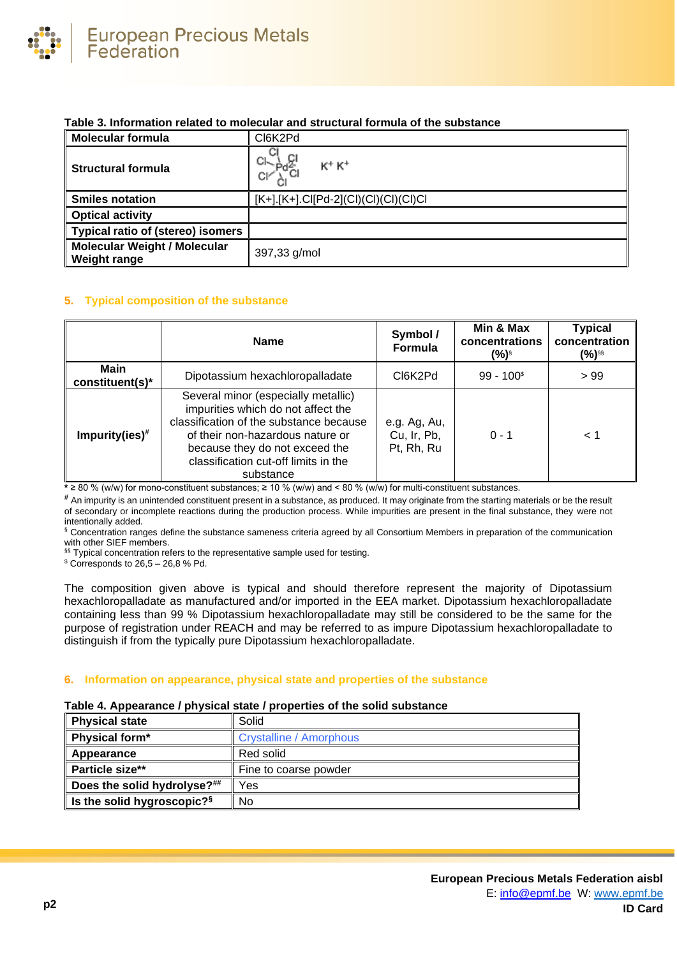

# **Table 3. Information related to molecular and structural formula of the substance**

| <b>Molecular formula</b>                                   | CI6K2Pd                                 |  |
|------------------------------------------------------------|-----------------------------------------|--|
| <b>Structural formula</b>                                  | $K^+ K^+$                               |  |
| <b>Smiles notation</b>                                     | $[K+]$ [K+].Cl[Pd-2](Cl)(Cl)(Cl)(Cl)Cl) |  |
| <b>Optical activity</b>                                    |                                         |  |
| <b>Typical ratio of (stereo) isomers</b>                   |                                         |  |
| <b>Molecular Weight / Molecular</b><br><b>Weight range</b> | 397,33 g/mol                            |  |

# **5. Typical composition of the substance**

|                         | <b>Name</b>                                                                                                                                                                                                                                     | Symbol /<br><b>Formula</b>                | Min & Max<br>concentrations<br>(%)§ | <b>Typical</b><br>concentration<br>(%)§§ |
|-------------------------|-------------------------------------------------------------------------------------------------------------------------------------------------------------------------------------------------------------------------------------------------|-------------------------------------------|-------------------------------------|------------------------------------------|
| Main<br>constituent(s)* | Dipotassium hexachloropalladate                                                                                                                                                                                                                 | CI6K2Pd                                   | $99 - 100$ <sup>\$</sup>            | >99                                      |
| $Impurity(ies)*$        | Several minor (especially metallic)<br>impurities which do not affect the<br>classification of the substance because<br>of their non-hazardous nature or<br>because they do not exceed the<br>classification cut-off limits in the<br>substance | e.g. Ag, Au,<br>Cu, Ir, Pb,<br>Pt, Rh, Ru | $0 - 1$                             | 1 >                                      |

**\*** ≥ 80 % (w/w) for mono-constituent substances; ≥ 10 % (w/w) and < 80 % (w/w) for multi-constituent substances.

**#** An impurity is an unintended constituent present in a substance, as produced. It may originate from the starting materials or be the result of secondary or incomplete reactions during the production process. While impurities are present in the final substance, they were not intentionally added.

§ Concentration ranges define the substance sameness criteria agreed by all Consortium Members in preparation of the communication with other SIEF members.

§§ Typical concentration refers to the representative sample used for testing.

 $$$  Corresponds to 26,5 - 26,8 % Pd.

The composition given above is typical and should therefore represent the majority of Dipotassium hexachloropalladate as manufactured and/or imported in the EEA market. Dipotassium hexachloropalladate containing less than 99 % Dipotassium hexachloropalladate may still be considered to be the same for the purpose of registration under REACH and may be referred to as impure Dipotassium hexachloropalladate to distinguish if from the typically pure Dipotassium hexachloropalladate.

## **6. Information on appearance, physical state and properties of the substance**

## **Table 4. Appearance / physical state / properties of the solid substance**

| <b>Physical state</b>                  | Solid                          |
|----------------------------------------|--------------------------------|
| Physical form*                         | <b>Crystalline / Amorphous</b> |
| Appearance                             | Red solid                      |
| <b>Particle size**</b>                 | Fine to coarse powder          |
| Does the solid hydrolyse?##            | Yes                            |
| Is the solid hygroscopic? <sup>§</sup> | No                             |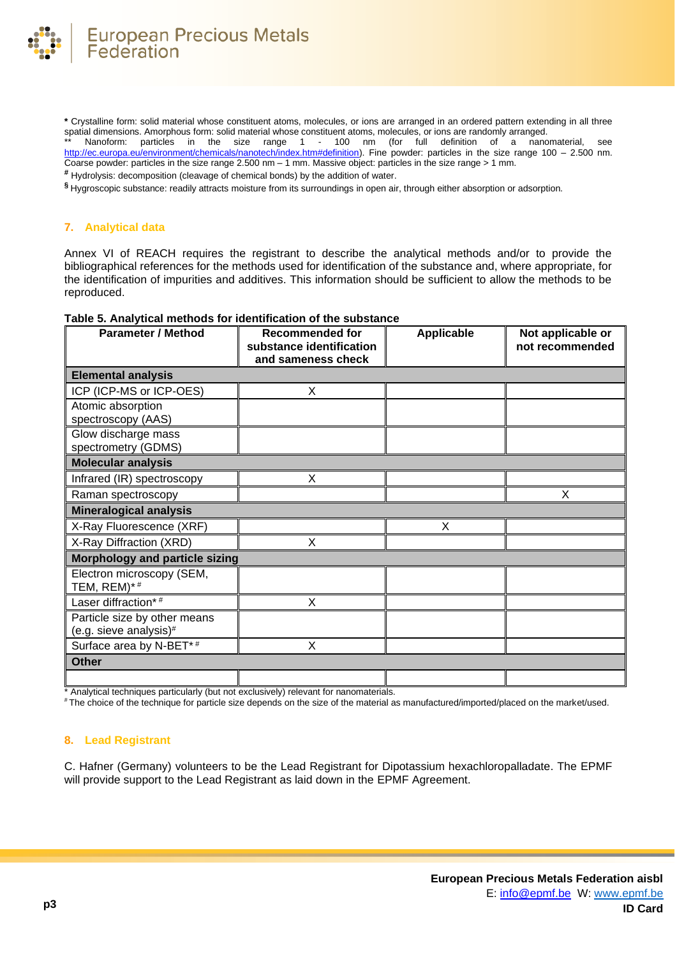

**\*** Crystalline form: solid material whose constituent atoms, molecules, or ions are arranged in an ordered pattern extending in all three spatial dimensions. Amorphous form: solid material whose constituent atoms, molecules, or ions are randomly arranged.

Nanoform: particles in the size range 1 - 100 nm (for full definition of a nanomaterial, see [http://ec.europa.eu/environment/chemicals/nanotech/index.htm#definition\)](http://ec.europa.eu/environment/chemicals/nanotech/index.htm#definition). Fine powder: particles in the size range 100 – 2.500 nm. Coarse powder: particles in the size range 2.500 nm – 1 mm. Massive object: particles in the size range > 1 mm.

**#** Hydrolysis: decomposition (cleavage of chemical bonds) by the addition of water.

**§** Hygroscopic substance: readily attracts moisture from its surroundings in open air, through either absorption or adsorption.

### **7. Analytical data**

Annex VI of REACH requires the registrant to describe the analytical methods and/or to provide the bibliographical references for the methods used for identification of the substance and, where appropriate, for the identification of impurities and additives. This information should be sufficient to allow the methods to be reproduced.

| <b>Parameter / Method</b>                              | <b>Recommended for</b><br>substance identification<br>and sameness check | <b>Applicable</b> | Not applicable or<br>not recommended |
|--------------------------------------------------------|--------------------------------------------------------------------------|-------------------|--------------------------------------|
| <b>Elemental analysis</b>                              |                                                                          |                   |                                      |
| ICP (ICP-MS or ICP-OES)                                | X                                                                        |                   |                                      |
| Atomic absorption<br>spectroscopy (AAS)                |                                                                          |                   |                                      |
| Glow discharge mass<br>spectrometry (GDMS)             |                                                                          |                   |                                      |
| <b>Molecular analysis</b>                              |                                                                          |                   |                                      |
| Infrared (IR) spectroscopy                             | X                                                                        |                   |                                      |
| Raman spectroscopy                                     |                                                                          |                   | X                                    |
| <b>Mineralogical analysis</b>                          |                                                                          |                   |                                      |
| X-Ray Fluorescence (XRF)                               |                                                                          | X                 |                                      |
| X-Ray Diffraction (XRD)                                | X                                                                        |                   |                                      |
| Morphology and particle sizing                         |                                                                          |                   |                                      |
| Electron microscopy (SEM,<br>TEM, REM)*#               |                                                                          |                   |                                      |
| Laser diffraction*#                                    | X                                                                        |                   |                                      |
| Particle size by other means<br>(e.g. sieve analysis)# |                                                                          |                   |                                      |
| Surface area by N-BET*#                                | X                                                                        |                   |                                      |
| <b>Other</b>                                           |                                                                          |                   |                                      |
|                                                        |                                                                          |                   |                                      |

# **Table 5. Analytical methods for identification of the substance**

\* Analytical techniques particularly (but not exclusively) relevant for nanomaterials.

# The choice of the technique for particle size depends on the size of the material as manufactured/imported/placed on the market/used.

## **8. Lead Registrant**

C. Hafner (Germany) volunteers to be the Lead Registrant for Dipotassium hexachloropalladate. The EPMF will provide support to the Lead Registrant as laid down in the EPMF Agreement.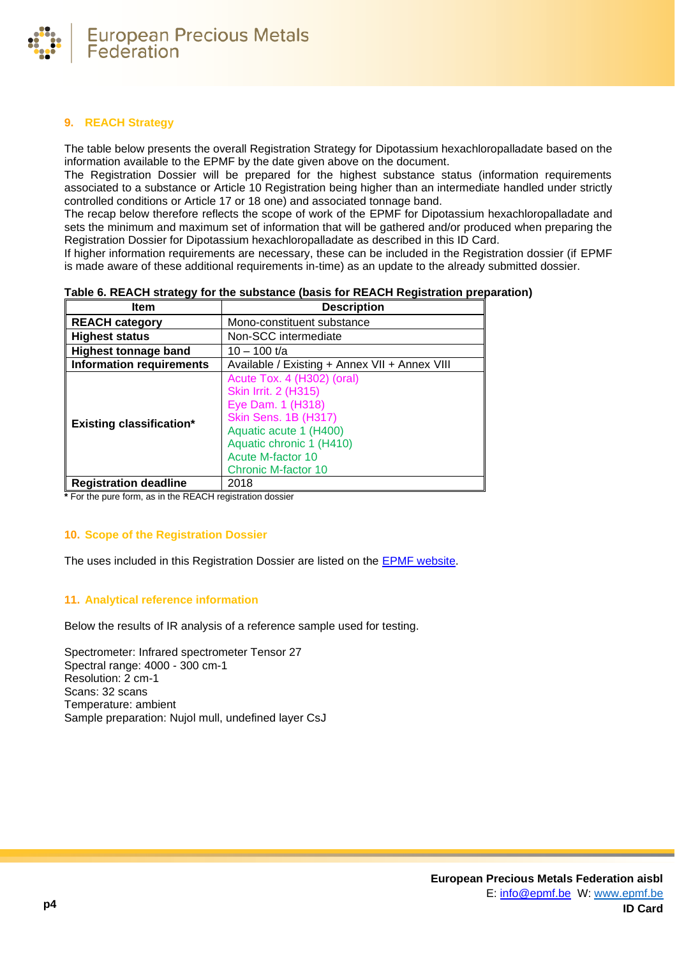

# **9. REACH Strategy**

The table below presents the overall Registration Strategy for Dipotassium hexachloropalladate based on the information available to the EPMF by the date given above on the document.

The Registration Dossier will be prepared for the highest substance status (information requirements associated to a substance or Article 10 Registration being higher than an intermediate handled under strictly controlled conditions or Article 17 or 18 one) and associated tonnage band.

The recap below therefore reflects the scope of work of the EPMF for Dipotassium hexachloropalladate and sets the minimum and maximum set of information that will be gathered and/or produced when preparing the Registration Dossier for Dipotassium hexachloropalladate as described in this ID Card.

If higher information requirements are necessary, these can be included in the Registration dossier (if EPMF is made aware of these additional requirements in-time) as an update to the already submitted dossier.

| Item                            | <b>Description</b>                                                                                                                                                                                                     |
|---------------------------------|------------------------------------------------------------------------------------------------------------------------------------------------------------------------------------------------------------------------|
| <b>REACH category</b>           | Mono-constituent substance                                                                                                                                                                                             |
| <b>Highest status</b>           | Non-SCC intermediate                                                                                                                                                                                                   |
| <b>Highest tonnage band</b>     | $10 - 100$ t/a                                                                                                                                                                                                         |
| <b>Information requirements</b> | Available / Existing + Annex VII + Annex VIII                                                                                                                                                                          |
| <b>Existing classification*</b> | Acute Tox. 4 (H302) (oral)<br><b>Skin Irrit. 2 (H315)</b><br>Eye Dam. 1 (H318)<br><b>Skin Sens. 1B (H317)</b><br>Aquatic acute 1 (H400)<br>Aquatic chronic 1 (H410)<br>Acute M-factor 10<br><b>Chronic M-factor 10</b> |
| <b>Registration deadline</b>    | 2018                                                                                                                                                                                                                   |

# **Table 6. REACH strategy for the substance (basis for REACH Registration preparation)**

**\*** For the pure form, as in the REACH registration dossier

# **10. Scope of the Registration Dossier**

The uses included in this Registration Dossier are listed on the [EPMF website.](https://www.epmf.be/)

# **11. Analytical reference information**

Below the results of IR analysis of a reference sample used for testing.

Spectrometer: Infrared spectrometer Tensor 27 Spectral range: 4000 - 300 cm-1 Resolution: 2 cm-1 Scans: 32 scans Temperature: ambient Sample preparation: Nujol mull, undefined layer CsJ